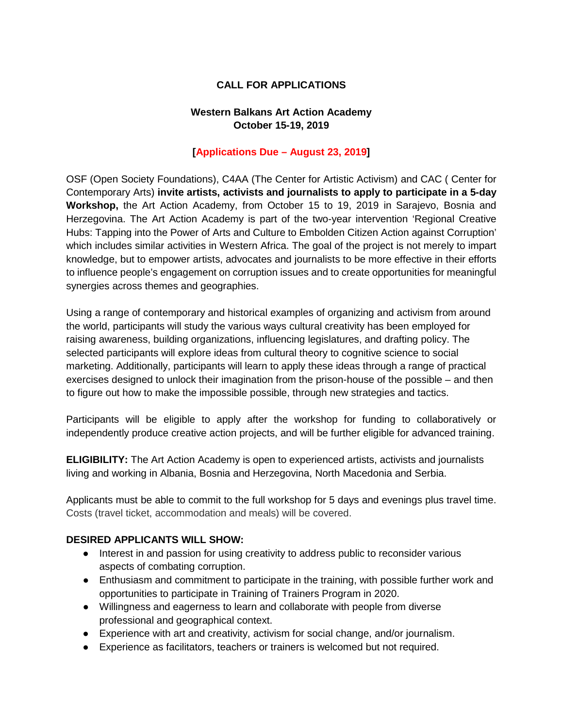## **CALL FOR APPLICATIONS**

### **Western Balkans Art Action Academy October 15-19, 2019**

### **[Applications Due – August 23, 2019]**

OSF (Open Society Foundations), C4AA (The Center for Artistic Activism) and CAC ( Center for Contemporary Arts) **invite artists, activists and journalists to apply to participate in a 5-day Workshop,** the Art Action Academy, from October 15 to 19, 2019 in Sarajevo, Bosnia and Herzegovina. The Art Action Academy is part of the two-year intervention 'Regional Creative Hubs: Tapping into the Power of Arts and Culture to Embolden Citizen Action against Corruption' which includes similar activities in Western Africa. The goal of the project is not merely to impart knowledge, but to empower artists, advocates and journalists to be more effective in their efforts to influence people's engagement on corruption issues and to create opportunities for meaningful synergies across themes and geographies.

Using a range of contemporary and historical examples of organizing and activism from around the world, participants will study the various ways cultural creativity has been employed for raising awareness, building organizations, influencing legislatures, and drafting policy. The selected participants will explore ideas from cultural theory to cognitive science to social marketing. Additionally, participants will learn to apply these ideas through a range of practical exercises designed to unlock their imagination from the prison-house of the possible – and then to figure out how to make the impossible possible, through new strategies and tactics.

Participants will be eligible to apply after the workshop for funding to collaboratively or independently produce creative action projects, and will be further eligible for advanced training.

**ELIGIBILITY:** The Art Action Academy is open to experienced artists, activists and journalists living and working in Albania, Bosnia and Herzegovina, North Macedonia and Serbia.

Applicants must be able to commit to the full workshop for 5 days and evenings plus travel time. Costs (travel ticket, accommodation and meals) will be covered.

#### **DESIRED APPLICANTS WILL SHOW:**

- Interest in and passion for using creativity to address public to reconsider various aspects of combating corruption.
- Enthusiasm and commitment to participate in the training, with possible further work and opportunities to participate in Training of Trainers Program in 2020.
- Willingness and eagerness to learn and collaborate with people from diverse professional and geographical context.
- Experience with art and creativity, activism for social change, and/or journalism.
- Experience as facilitators, teachers or trainers is welcomed but not required.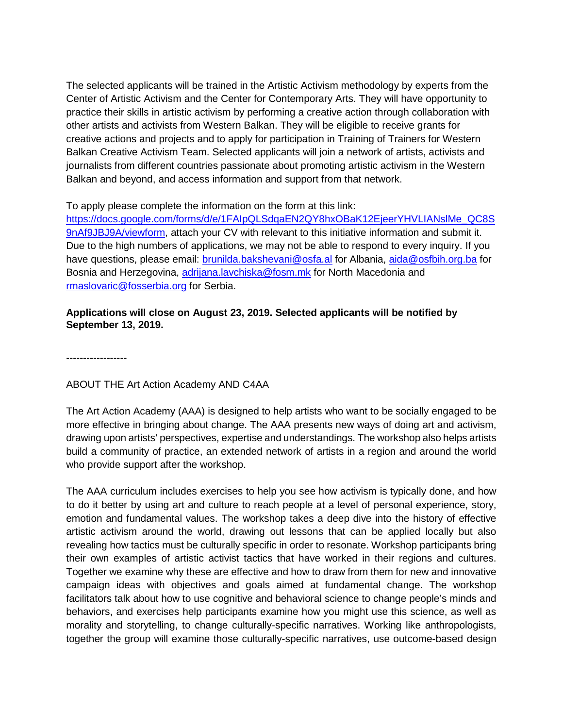The selected applicants will be trained in the Artistic Activism methodology by experts from the Center of Artistic Activism and the Center for Contemporary Arts. They will have opportunity to practice their skills in artistic activism by performing a creative action through collaboration with other artists and activists from Western Balkan. They will be eligible to receive grants for creative actions and projects and to apply for participation in Training of Trainers for Western Balkan Creative Activism Team. Selected applicants will join a network of artists, activists and journalists from different countries passionate about promoting artistic activism in the Western Balkan and beyond, and access information and support from that network.

To apply please complete the information on the form at this link:

[https://docs.google.com/forms/d/e/1FAIpQLSdqaEN2QY8hxOBaK12EjeerYHVLIANslMe\\_QC8S](https://docs.google.com/forms/d/e/1FAIpQLSdqaEN2QY8hxOBaK12EjeerYHVLIANslMe_QC8S9nAf9JBJ9A/viewform) [9nAf9JBJ9A/viewform,](https://docs.google.com/forms/d/e/1FAIpQLSdqaEN2QY8hxOBaK12EjeerYHVLIANslMe_QC8S9nAf9JBJ9A/viewform) attach your CV with relevant to this initiative information and submit it. Due to the high numbers of applications, we may not be able to respond to every inquiry. If you have questions, please email: [brunilda.bakshevani@osfa.al](mailto:brunilda.bakshevani@osfa.al) for Albania, [aida@osfbih.org.ba](mailto:aida@osfbih.org.ba) for Bosnia and Herzegovina, [adrijana.lavchiska@fosm.mk](mailto:adrijana.lavchiska@fosm.mk) for North Macedonia and [rmaslovaric@fosserbia.org](mailto:rmaslovaric@fosserbia.org) for Serbia.

## **Applications will close on August 23, 2019. Selected applicants will be notified by September 13, 2019.**

------------------

# ABOUT THE Art Action Academy AND C4AA

The Art Action Academy (AAA) is designed to help artists who want to be socially engaged to be more effective in bringing about change. The AAA presents new ways of doing art and activism, drawing upon artists' perspectives, expertise and understandings. The workshop also helps artists build a community of practice, an extended network of artists in a region and around the world who provide support after the workshop.

The AAA curriculum includes exercises to help you see how activism is typically done, and how to do it better by using art and culture to reach people at a level of personal experience, story, emotion and fundamental values. The workshop takes a deep dive into the history of effective artistic activism around the world, drawing out lessons that can be applied locally but also revealing how tactics must be culturally specific in order to resonate. Workshop participants bring their own examples of artistic activist tactics that have worked in their regions and cultures. Together we examine why these are effective and how to draw from them for new and innovative campaign ideas with objectives and goals aimed at fundamental change. The workshop facilitators talk about how to use cognitive and behavioral science to change people's minds and behaviors, and exercises help participants examine how you might use this science, as well as morality and storytelling, to change culturally-specific narratives. Working like anthropologists, together the group will examine those culturally-specific narratives, use outcome-based design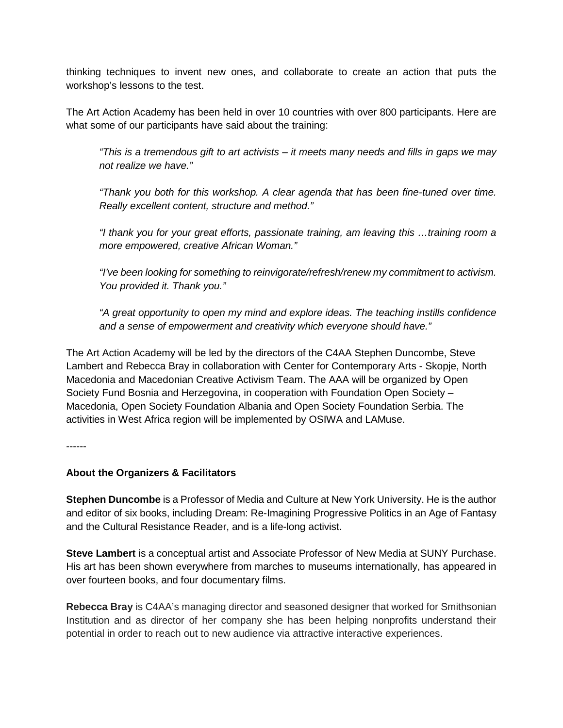thinking techniques to invent new ones, and collaborate to create an action that puts the workshop's lessons to the test.

The Art Action Academy has been held in over 10 countries with over 800 participants. Here are what some of our participants have said about the training:

*"This is a tremendous gift to art activists – it meets many needs and fills in gaps we may not realize we have."*

*"Thank you both for this workshop. A clear agenda that has been fine-tuned over time. Really excellent content, structure and method."*

*"I thank you for your great efforts, passionate training, am leaving this …training room a more empowered, creative African Woman."*

*"I've been looking for something to reinvigorate/refresh/renew my commitment to activism. You provided it. Thank you."*

*"A great opportunity to open my mind and explore ideas. The teaching instills confidence and a sense of empowerment and creativity which everyone should have."*

The Art Action Academy will be led by the directors of the C4AA Stephen Duncombe, Steve Lambert and Rebecca Bray in collaboration with Center for Contemporary Arts - Skopje, North Macedonia and Macedonian Creative Activism Team. The AAA will be organized by Open Society Fund Bosnia and Herzegovina, in cooperation with Foundation Open Society – Macedonia, Open Society Foundation Albania and Open Society Foundation Serbia. The activities in West Africa region will be implemented by OSIWA and LAMuse.

------

#### **About the Organizers & Facilitators**

**Stephen Duncombe** is a Professor of Media and Culture at New York University. He is the author and editor of six books, including Dream: Re-Imagining Progressive Politics in an Age of Fantasy and the Cultural Resistance Reader, and is a life-long activist.

**Steve Lambert** is a conceptual artist and Associate Professor of New Media at SUNY Purchase. His art has been shown everywhere from marches to museums internationally, has appeared in over fourteen books, and four documentary films.

**Rebecca Bray** is C4AA's managing director and seasoned designer that worked for Smithsonian Institution and as director of her company she has been helping nonprofits understand their potential in order to reach out to new audience via attractive interactive experiences.